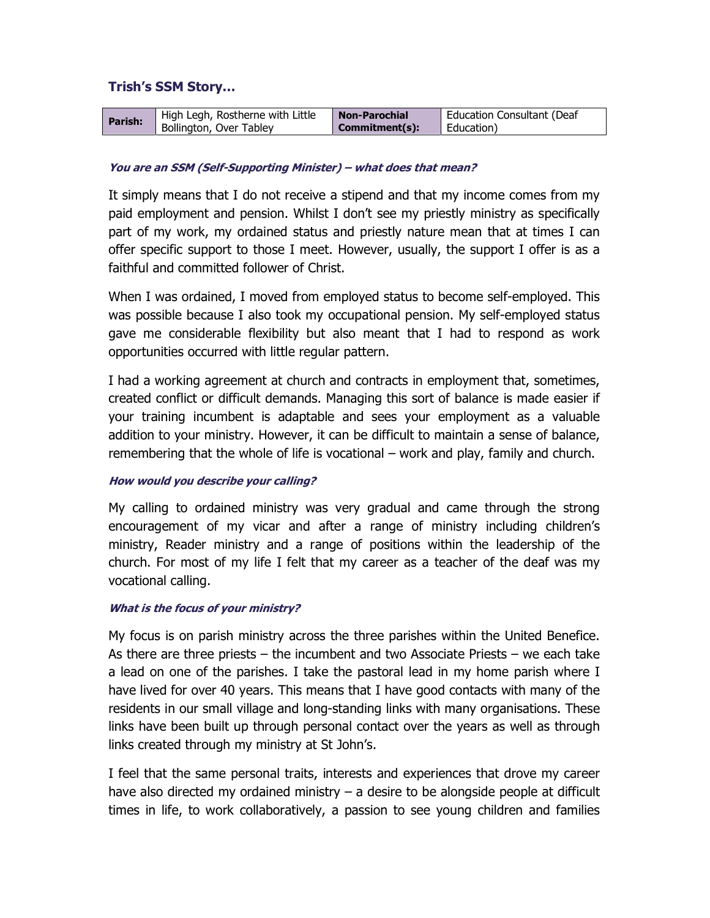# Trish's SSM Story…

| Parish: | High Legh, Rostherne with Little | <b>Non-Parochial</b> | Education Consultant (Deaf |
|---------|----------------------------------|----------------------|----------------------------|
|         | Bollington, Over Tabley          | Commitment(s):       | Education)                 |

#### You are an SSM (Self-Supporting Minister) – what does that mean?

It simply means that I do not receive a stipend and that my income comes from my paid employment and pension. Whilst I don't see my priestly ministry as specifically part of my work, my ordained status and priestly nature mean that at times I can offer specific support to those I meet. However, usually, the support I offer is as a faithful and committed follower of Christ.

When I was ordained, I moved from employed status to become self-employed. This was possible because I also took my occupational pension. My self-employed status gave me considerable flexibility but also meant that I had to respond as work opportunities occurred with little regular pattern.

I had a working agreement at church and contracts in employment that, sometimes, created conflict or difficult demands. Managing this sort of balance is made easier if your training incumbent is adaptable and sees your employment as a valuable addition to your ministry. However, it can be difficult to maintain a sense of balance, remembering that the whole of life is vocational – work and play, family and church.

## How would you describe your calling?

My calling to ordained ministry was very gradual and came through the strong encouragement of my vicar and after a range of ministry including children's ministry, Reader ministry and a range of positions within the leadership of the church. For most of my life I felt that my career as a teacher of the deaf was my vocational calling.

## What is the focus of your ministry?

My focus is on parish ministry across the three parishes within the United Benefice. As there are three priests – the incumbent and two Associate Priests – we each take a lead on one of the parishes. I take the pastoral lead in my home parish where I have lived for over 40 years. This means that I have good contacts with many of the residents in our small village and long-standing links with many organisations. These links have been built up through personal contact over the years as well as through links created through my ministry at St John's.

I feel that the same personal traits, interests and experiences that drove my career have also directed my ordained ministry – a desire to be alongside people at difficult times in life, to work collaboratively, a passion to see young children and families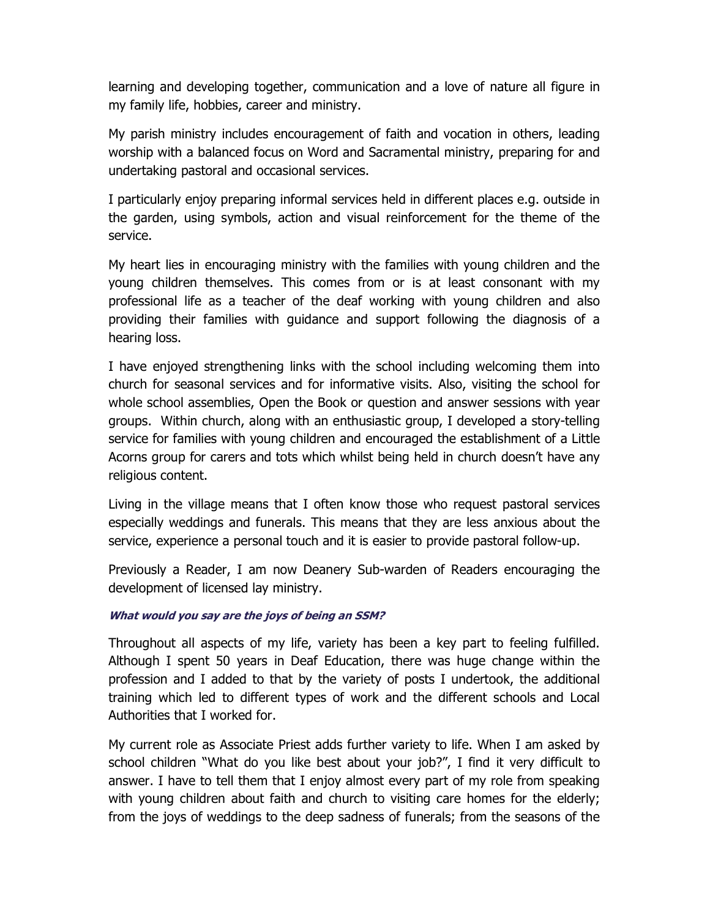learning and developing together, communication and a love of nature all figure in my family life, hobbies, career and ministry.

My parish ministry includes encouragement of faith and vocation in others, leading worship with a balanced focus on Word and Sacramental ministry, preparing for and undertaking pastoral and occasional services.

I particularly enjoy preparing informal services held in different places e.g. outside in the garden, using symbols, action and visual reinforcement for the theme of the service.

My heart lies in encouraging ministry with the families with young children and the young children themselves. This comes from or is at least consonant with my professional life as a teacher of the deaf working with young children and also providing their families with guidance and support following the diagnosis of a hearing loss.

I have enjoyed strengthening links with the school including welcoming them into church for seasonal services and for informative visits. Also, visiting the school for whole school assemblies, Open the Book or question and answer sessions with year groups. Within church, along with an enthusiastic group, I developed a story-telling service for families with young children and encouraged the establishment of a Little Acorns group for carers and tots which whilst being held in church doesn't have any religious content.

Living in the village means that I often know those who request pastoral services especially weddings and funerals. This means that they are less anxious about the service, experience a personal touch and it is easier to provide pastoral follow-up.

Previously a Reader, I am now Deanery Sub-warden of Readers encouraging the development of licensed lay ministry.

## What would you say are the joys of being an SSM?

Throughout all aspects of my life, variety has been a key part to feeling fulfilled. Although I spent 50 years in Deaf Education, there was huge change within the profession and I added to that by the variety of posts I undertook, the additional training which led to different types of work and the different schools and Local Authorities that I worked for.

My current role as Associate Priest adds further variety to life. When I am asked by school children "What do you like best about your job?", I find it very difficult to answer. I have to tell them that I enjoy almost every part of my role from speaking with young children about faith and church to visiting care homes for the elderly; from the joys of weddings to the deep sadness of funerals; from the seasons of the